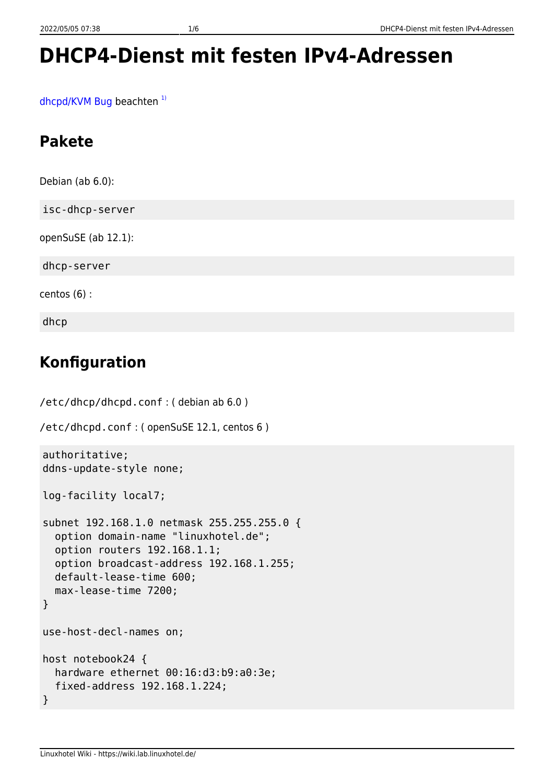# **DHCP4-Dienst mit festen IPv4-Adressen**

[dhcpd/KVM Bug](https://bugs.debian.org/cgi-bin/bugreport.cgi?bug=717215) beachten $1$ 

## **Pakete**

Debian (ab 6.0): isc-dhcp-server openSuSE (ab 12.1): dhcp-server centos (6) : dhcp

## **Konfiguration**

```
/etc/dhcp/dhcpd.conf : ( debian ab 6.0 )
/etc/dhcpd.conf : ( openSuSE 12.1, centos 6 )
authoritative;
ddns-update-style none;
log-facility local7;
subnet 192.168.1.0 netmask 255.255.255.0 {
   option domain-name "linuxhotel.de";
   option routers 192.168.1.1;
   option broadcast-address 192.168.1.255;
   default-lease-time 600;
   max-lease-time 7200;
}
use-host-decl-names on;
host notebook24 {
   hardware ethernet 00:16:d3:b9:a0:3e;
   fixed-address 192.168.1.224;
}
```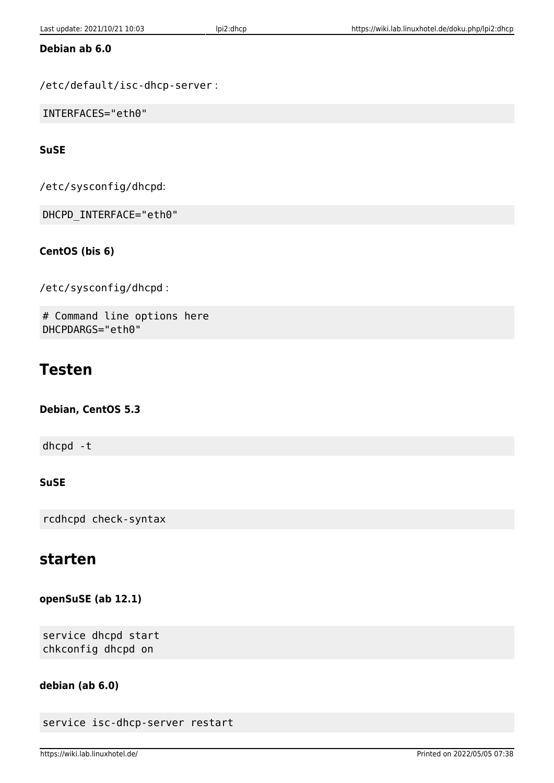### **Debian ab 6.0**

/etc/default/isc-dhcp-server :

INTERFACES="eth0"

### **SuSE**

/etc/sysconfig/dhcpd:

DHCPD\_INTERFACE="eth0"

### **CentOS (bis 6)**

/etc/sysconfig/dhcpd :

# Command line options here DHCPDARGS="eth0"

### **Testen**

### **Debian, CentOS 5.3**

dhcpd -t

### **SuSE**

rcdhcpd check-syntax

### **starten**

**openSuSE (ab 12.1)**

service dhcpd start chkconfig dhcpd on

### **debian (ab 6.0)**

```
service isc-dhcp-server restart
```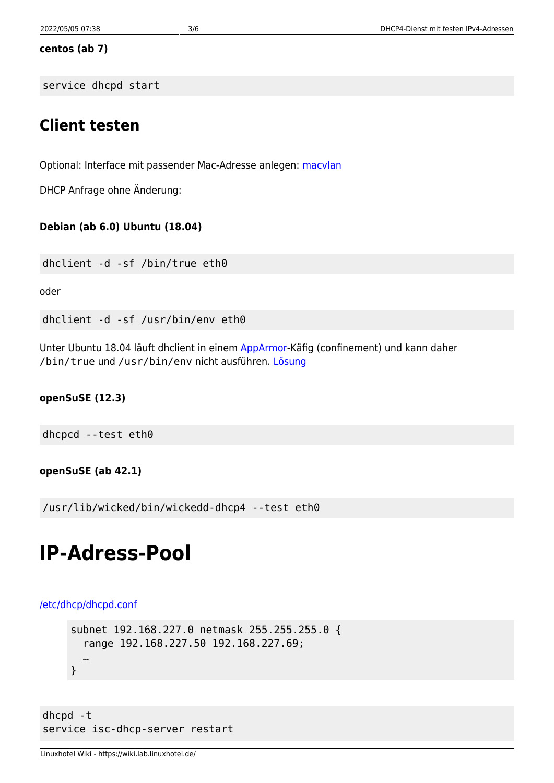#### **centos (ab 7)**

service dhcpd start

### **Client testen**

Optional: Interface mit passender Mac-Adresse anlegen: [macvlan](https://wiki.lab.linuxhotel.de/doku.php/lpi2:macvlan)

DHCP Anfrage ohne Änderung:

### **Debian (ab 6.0) Ubuntu (18.04)**

dhclient -d -sf /bin/true eth0

oder

dhclient -d -sf /usr/bin/env eth0

Unter Ubuntu 18.04 läuft dhclient in einem [AppArmor-](https://wiki.lab.linuxhotel.de/doku.php/lpi2:apparmor)Käfig (confinement) und kann daher /bin/true und /usr/bin/env nicht ausführen. [Lösung](https://wiki.lab.linuxhotel.de/doku.php/lpi2:apparmor)

### **openSuSE (12.3)**

dhcpcd --test eth0

### **openSuSE (ab 42.1)**

/usr/lib/wicked/bin/wickedd-dhcp4 --test eth0

## **IP-Adress-Pool**

#### [/etc/dhcp/dhcpd.conf](https://wiki.lab.linuxhotel.de/doku.php/lpi2:dhcp?do=export_code&codeblock=4)

```
subnet 192.168.227.0 netmask 255.255.255.0 {
   range 192.168.227.50 192.168.227.69;
   …
}
```
dhcpd -t service isc-dhcp-server restart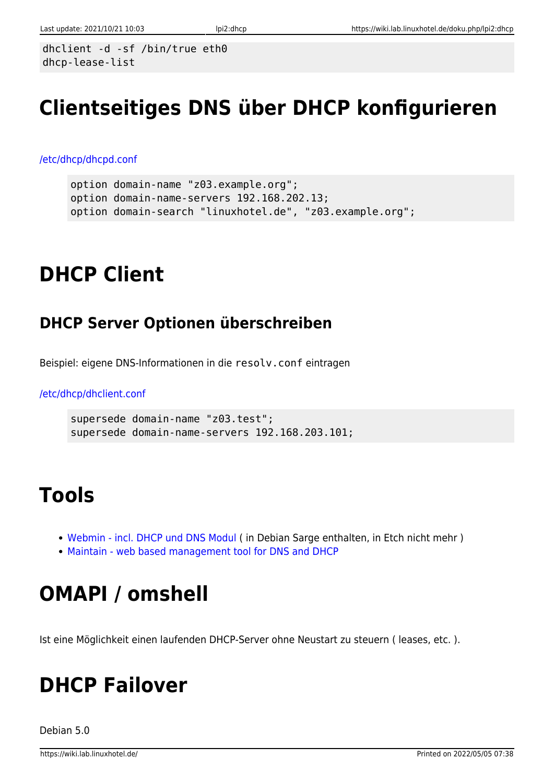dhclient -d -sf /bin/true eth0 dhcp-lease-list

# **Clientseitiges DNS über DHCP konfigurieren**

[/etc/dhcp/dhcpd.conf](https://wiki.lab.linuxhotel.de/doku.php/lpi2:dhcp?do=export_code&codeblock=5)

```
option domain-name "z03.example.org";
option domain-name-servers 192.168.202.13;
option domain-search "linuxhotel.de", "z03.example.org";
```
# **DHCP Client**

## **DHCP Server Optionen überschreiben**

Beispiel: eigene DNS-Informationen in die resolv.conf eintragen

### [/etc/dhcp/dhclient.conf](https://wiki.lab.linuxhotel.de/doku.php/lpi2:dhcp?do=export_code&codeblock=6)

```
supersede domain-name "z03.test";
supersede domain-name-servers 192.168.203.101;
```
# **Tools**

- [Webmin incl. DHCP und DNS Modul](http://www.webmin.com) ( in Debian Sarge enthalten, in Etch nicht mehr )
- [Maintain web based management tool for DNS and DHCP](http://osuosl.org/projects/maintain/)

# **OMAPI / omshell**

Ist eine Möglichkeit einen laufenden DHCP-Server ohne Neustart zu steuern ( leases, etc. ).

# **DHCP Failover**

Debian 5.0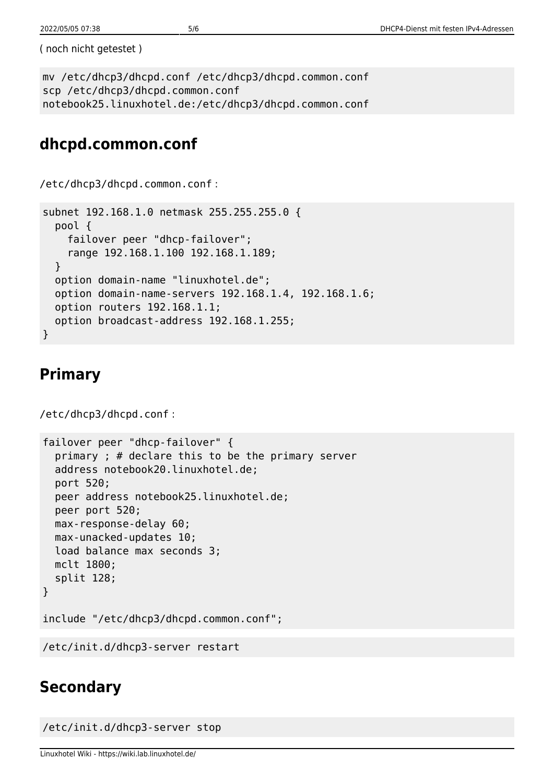( noch nicht getestet )

```
mv /etc/dhcp3/dhcpd.conf /etc/dhcp3/dhcpd.common.conf
scp /etc/dhcp3/dhcpd.common.conf
notebook25.linuxhotel.de:/etc/dhcp3/dhcpd.common.conf
```
## **dhcpd.common.conf**

```
/etc/dhcp3/dhcpd.common.conf :
subnet 192.168.1.0 netmask 255.255.255.0 {
   pool {
     failover peer "dhcp-failover";
     range 192.168.1.100 192.168.1.189;
   }
   option domain-name "linuxhotel.de";
   option domain-name-servers 192.168.1.4, 192.168.1.6;
   option routers 192.168.1.1;
   option broadcast-address 192.168.1.255;
}
```
### **Primary**

```
/etc/dhcp3/dhcpd.conf :
```

```
failover peer "dhcp-failover" {
   primary ; # declare this to be the primary server
   address notebook20.linuxhotel.de;
   port 520;
   peer address notebook25.linuxhotel.de;
  peer port 520;
  max-response-delay 60;
  max-unacked-updates 10;
  load balance max seconds 3;
  mclt 1800;
   split 128;
}
```
include "/etc/dhcp3/dhcpd.common.conf";

/etc/init.d/dhcp3-server restart

### **Secondary**

/etc/init.d/dhcp3-server stop